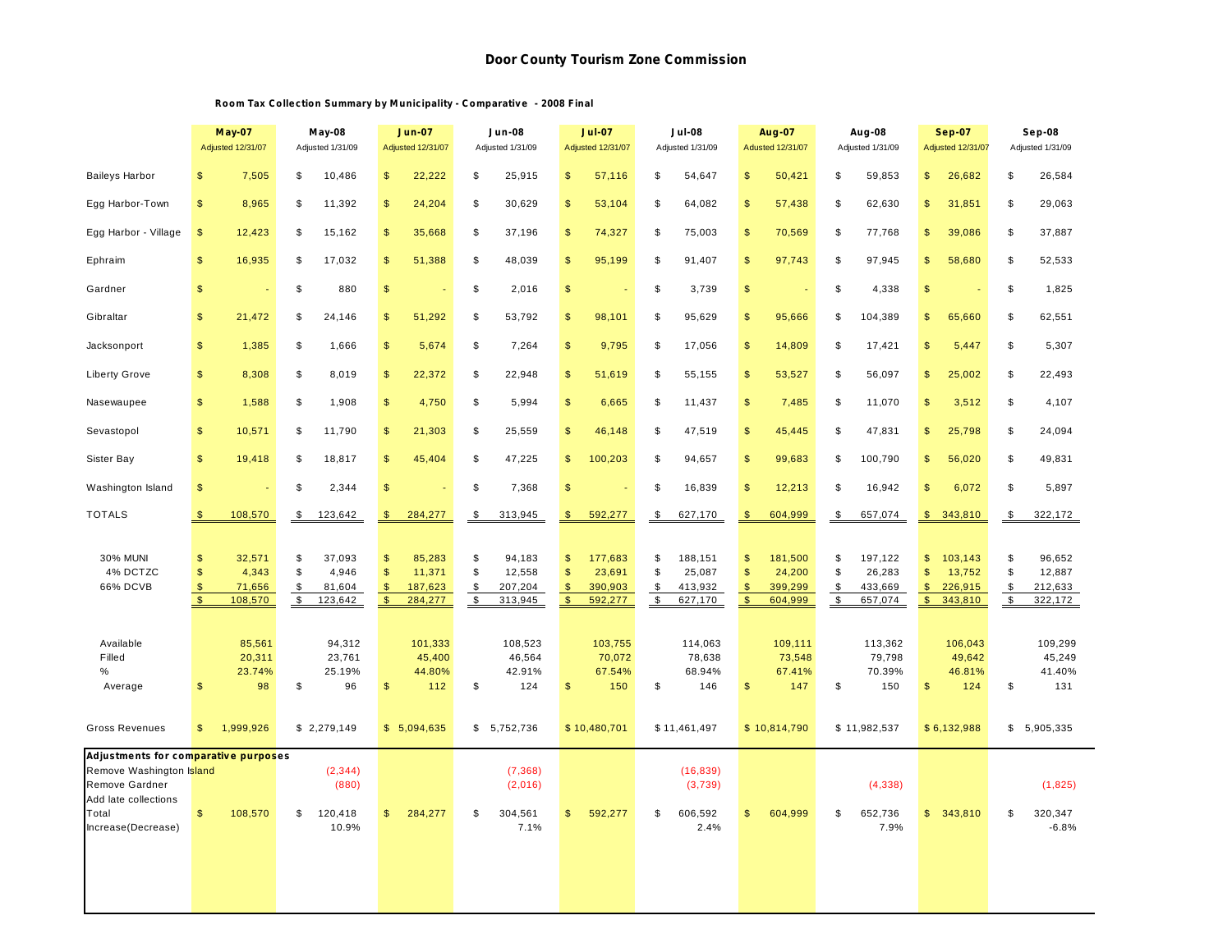## **Room Tax Collection Summary by M unicipality - Comparative - 2008 Final**

|                                                                                                   | <b>May-07</b><br>Adjusted 12/31/07                                                            | May-08<br>Adjusted 1/31/09                                              | <b>Jun-07</b><br>Adjusted 12/31/07                                                             | Jun-08<br>Adjusted 1/31/09                                                | <b>Jul-08</b><br><b>Jul-07</b><br><b>Adjusted 12/31/07</b><br>Adjusted 1/31/09             |                                                                            | <b>Aug-07</b><br>Adusted 12/31/07                                                                | Aug-08<br>Adjusted 1/31/09                                                 |                                                                                 | Sep-08<br>Adjusted 1/31/09                                                            |
|---------------------------------------------------------------------------------------------------|-----------------------------------------------------------------------------------------------|-------------------------------------------------------------------------|------------------------------------------------------------------------------------------------|---------------------------------------------------------------------------|--------------------------------------------------------------------------------------------|----------------------------------------------------------------------------|--------------------------------------------------------------------------------------------------|----------------------------------------------------------------------------|---------------------------------------------------------------------------------|---------------------------------------------------------------------------------------|
| <b>Baileys Harbor</b>                                                                             | 7,505                                                                                         | \$                                                                      | $\mathfrak{s}$                                                                                 | \$                                                                        | $\mathfrak{s}$                                                                             | \$                                                                         | $\mathsf{\$}$                                                                                    | \$                                                                         | \$                                                                              | \$                                                                                    |
|                                                                                                   | $\mathfrak{s}$                                                                                | 10,486                                                                  | 22,222                                                                                         | 25,915                                                                    | 57,116                                                                                     | 54,647                                                                     | 50,421                                                                                           | 59,853                                                                     | 26,682                                                                          | 26,584                                                                                |
| Egg Harbor-Town                                                                                   | \$                                                                                            | 11,392                                                                  | $\mathfrak{s}$                                                                                 | \$                                                                        | \$                                                                                         | \$                                                                         | $\frac{1}{2}$                                                                                    | \$                                                                         | \$                                                                              | \$                                                                                    |
|                                                                                                   | 8,965                                                                                         | \$                                                                      | 24,204                                                                                         | 30,629                                                                    | 53,104                                                                                     | 64,082                                                                     | 57,438                                                                                           | 62,630                                                                     | 31,851                                                                          | 29,063                                                                                |
| Egg Harbor - Village                                                                              | $\sqrt[6]{3}$                                                                                 | \$                                                                      | \$                                                                                             | \$                                                                        | \$                                                                                         | \$                                                                         | $\frac{1}{2}$                                                                                    | \$                                                                         | \$                                                                              | \$                                                                                    |
|                                                                                                   | 12,423                                                                                        | 15,162                                                                  | 35,668                                                                                         | 37,196                                                                    | 74,327                                                                                     | 75,003                                                                     | 70,569                                                                                           | 77,768                                                                     | 39,086                                                                          | 37,887                                                                                |
| Ephraim                                                                                           | $\mathfrak{s}$                                                                                | \$                                                                      | $\mathfrak{s}$                                                                                 | \$                                                                        | $\mathfrak{s}$                                                                             | \$                                                                         | $\mathfrak{s}$                                                                                   | \$                                                                         | $\mathfrak{S}$                                                                  | \$                                                                                    |
|                                                                                                   | 16,935                                                                                        | 17.032                                                                  | 51,388                                                                                         | 48,039                                                                    | 95.199                                                                                     | 91,407                                                                     | 97,743                                                                                           | 97,945                                                                     | 58,680                                                                          | 52,533                                                                                |
| Gardner                                                                                           | $\mathsf{\$}$                                                                                 | \$<br>880                                                               | $\mathsf{\$}$                                                                                  | \$<br>2,016                                                               | \$                                                                                         | \$<br>3,739                                                                | $\mathfrak{s}$<br>÷,                                                                             | \$<br>4,338                                                                | $\mathfrak{s}$                                                                  | \$<br>1,825                                                                           |
| Gibraltar                                                                                         | 21,472                                                                                        | \$                                                                      | 51,292                                                                                         | \$                                                                        | $\mathsf{\$}$                                                                              | \$                                                                         | $\frac{1}{2}$                                                                                    | \$                                                                         | $\mathfrak{s}$                                                                  | \$                                                                                    |
|                                                                                                   | \$                                                                                            | 24,146                                                                  | $\mathfrak{s}$                                                                                 | 53,792                                                                    | 98,101                                                                                     | 95,629                                                                     | 95,666                                                                                           | 104,389                                                                    | 65,660                                                                          | 62,551                                                                                |
| Jacksonport                                                                                       | \$                                                                                            | \$                                                                      | \$                                                                                             | \$                                                                        | \$                                                                                         | \$                                                                         | $\frac{2}{3}$                                                                                    | \$                                                                         | \$                                                                              | \$                                                                                    |
|                                                                                                   | 1,385                                                                                         | 1,666                                                                   | 5,674                                                                                          | 7,264                                                                     | 9,795                                                                                      | 17,056                                                                     | 14,809                                                                                           | 17,421                                                                     | 5,447                                                                           | 5,307                                                                                 |
| <b>Liberty Grove</b>                                                                              | $\mathfrak{s}$                                                                                | \$                                                                      | \$                                                                                             | \$                                                                        | \$                                                                                         | \$                                                                         | $\frac{2}{3}$                                                                                    | \$                                                                         | $\mathfrak{S}$                                                                  | \$                                                                                    |
|                                                                                                   | 8,308                                                                                         | 8,019                                                                   | 22,372                                                                                         | 22,948                                                                    | 51,619                                                                                     | 55,155                                                                     | 53,527                                                                                           | 56,097                                                                     | 25,002                                                                          | 22,493                                                                                |
| Nasewaupee                                                                                        | \$                                                                                            | \$                                                                      | $\mathfrak{s}$                                                                                 | \$                                                                        | \$                                                                                         | \$                                                                         | $\frac{2}{3}$                                                                                    | \$                                                                         | \$                                                                              | \$                                                                                    |
|                                                                                                   | 1,588                                                                                         | 1,908                                                                   | 4,750                                                                                          | 5,994                                                                     | 6,665                                                                                      | 11,437                                                                     | 7,485                                                                                            | 11,070                                                                     | 3,512                                                                           | 4,107                                                                                 |
| Sevastopol                                                                                        | \$                                                                                            | \$                                                                      | \$                                                                                             | \$                                                                        | \$                                                                                         | \$                                                                         | $\frac{2}{3}$                                                                                    | \$                                                                         | \$                                                                              | \$                                                                                    |
|                                                                                                   | 10,571                                                                                        | 11,790                                                                  | 21,303                                                                                         | 25,559                                                                    | 46,148                                                                                     | 47,519                                                                     | 45,445                                                                                           | 47,831                                                                     | 25,798                                                                          | 24,094                                                                                |
| Sister Bay                                                                                        | $\mathfrak{s}$                                                                                | \$                                                                      | 45,404                                                                                         | \$                                                                        | $\mathbb{S}$                                                                               | \$                                                                         | $\mathfrak{s}$                                                                                   | \$                                                                         | $\mathfrak{S}$                                                                  | \$                                                                                    |
|                                                                                                   | 19,418                                                                                        | 18,817                                                                  | $\mathfrak{s}$                                                                                 | 47,225                                                                    | 100,203                                                                                    | 94,657                                                                     | 99,683                                                                                           | 100,790                                                                    | 56,020                                                                          | 49,831                                                                                |
| Washington Island                                                                                 | $\mathsf{\$}$                                                                                 | \$<br>2,344                                                             | $\mathsf{\$}$                                                                                  | \$<br>7,368                                                               | \$                                                                                         | \$<br>16,839                                                               | \$<br>12,213                                                                                     | 16,942<br>\$                                                               | $\mathfrak{s}$<br>6,072                                                         | \$<br>5,897                                                                           |
| <b>TOTALS</b>                                                                                     | 108,570                                                                                       | $\frac{1}{2}$                                                           | 284,277                                                                                        | $\sqrt[6]{3}$                                                             | $\mathsf{\$}$                                                                              | $\mathbf{\$}$                                                              | $\mathbf{\$}$                                                                                    | \$                                                                         | $\mathbf{s}$                                                                    | \$                                                                                    |
|                                                                                                   | $\mathfrak{S}$                                                                                | 123,642                                                                 | $\mathfrak{s}$                                                                                 | 313,945                                                                   | 592,277                                                                                    | 627,170                                                                    | 604.999                                                                                          | 657,074                                                                    | 343,810                                                                         | 322,172                                                                               |
| <b>30% MUNI</b><br>4% DCTZC<br>66% DCVB                                                           | 32,571<br>\$<br>$\mathfrak{s}$<br>4,343<br>\$<br>71,656<br>$\sqrt[6]{\frac{1}{2}}$<br>108,570 | \$<br>37,093<br>\$<br>4,946<br>\$<br>81,604<br>$\frac{1}{2}$<br>123,642 | $\mathfrak{s}$<br>85,283<br>\$<br>11,371<br>$\mathfrak{s}$<br>187,623<br>$\sqrt{5}$<br>284,277 | \$<br>94,183<br>\$<br>12,558<br>\$<br>207,204<br>$\mathfrak s$<br>313,945 | \$<br>177,683<br>$\mathsf{\$}$<br>23,691<br>$\sqrt{2}$<br>390,903<br>$\sqrt{2}$<br>592,277 | \$<br>188,151<br>\$<br>25,087<br>\$<br>413,932<br>$\sqrt[6]{3}$<br>627.170 | \$<br>181,500<br>$\mathsf{\$}$<br>24,200<br>$\frac{1}{2}$<br>399,299<br>$\frac{1}{2}$<br>604.999 | \$<br>197,122<br>\$<br>26,283<br>\$<br>433,669<br>$\frac{1}{2}$<br>657,074 | \$<br>103,143<br>\$<br>13,752<br>$\sqrt{3}$<br>226,915<br>$\sqrt{2}$<br>343,810 | \$<br>96,652<br>\$<br>12,887<br>\$<br>212,633<br>$\boldsymbol{\mathsf{S}}$<br>322,172 |
| Available<br>Filled<br>%<br>Average<br><b>Gross Revenues</b>                                      | 85,561<br>20,311<br>23.74%<br>98<br>$\mathfrak{s}$<br>1,999,926<br>$\mathsf{\$}$              | 94,312<br>23,761<br>25.19%<br>\$<br>96<br>\$2,279,149                   | 101,333<br>45,400<br>44.80%<br>$\mathsf{\$}$<br>112<br>\$5,094,635                             | 108,523<br>46,564<br>42.91%<br>\$<br>124<br>\$5,752,736                   | 103,755<br>70,072<br>67.54%<br>$\frac{1}{2}$<br>150<br>\$10,480,701                        | 114,063<br>78,638<br>68.94%<br>\$<br>146<br>\$11,461,497                   | 109,111<br>73,548<br>67.41%<br>147<br>$\mathfrak{s}$<br>\$10,814,790                             | 113,362<br>79,798<br>70.39%<br>\$<br>150<br>\$11,982,537                   | 106,043<br>49,642<br>46.81%<br>$\mathfrak{s}$<br>124<br>\$6,132,988             | 109,299<br>45,249<br>41.40%<br>\$<br>131<br>\$5,905,335                               |
| Adjustments for comparative purposes                                                              |                                                                                               |                                                                         |                                                                                                |                                                                           |                                                                                            |                                                                            |                                                                                                  |                                                                            |                                                                                 |                                                                                       |
| Remove Washington Island<br>Remove Gardner<br>Add late collections<br>Total<br>Increase(Decrease) | 108,570<br>$\mathfrak{S}$                                                                     | (2, 344)<br>(880)<br>\$<br>120,418<br>10.9%                             | 284,277<br>$\mathbf{s}$                                                                        | (7, 368)<br>(2,016)<br>304,561<br>\$<br>7.1%                              | 592,277<br>\$                                                                              | (16, 839)<br>(3,739)<br>\$<br>606,592<br>2.4%                              | \$<br>604,999                                                                                    | (4, 338)<br>652,736<br>\$<br>7.9%                                          | \$343,810                                                                       | (1,825)<br>\$<br>320,347<br>$-6.8%$                                                   |
|                                                                                                   |                                                                                               |                                                                         |                                                                                                |                                                                           |                                                                                            |                                                                            |                                                                                                  |                                                                            |                                                                                 |                                                                                       |